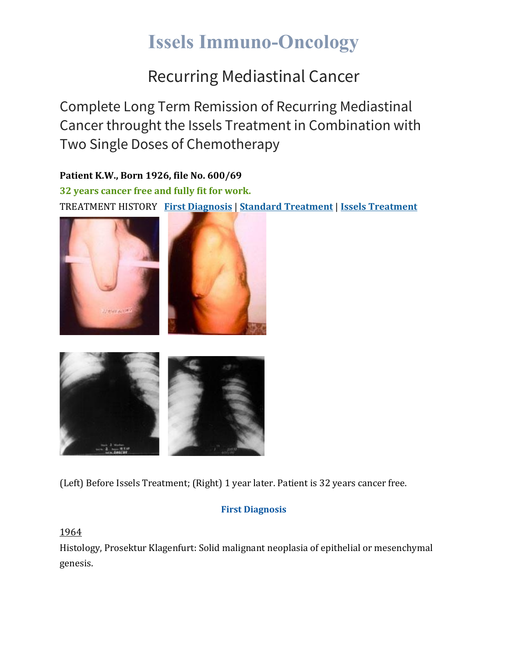# **Issels Immuno-Oncology**

### Recurring Mediastinal Cancer

Complete Long Term Remission of Recurring Mediastinal Cancer throught the Issels Treatment in Combination with Two Single Doses of Chemotherapy

**Patient K.W., Born 1926, file No. 600/69 32 years cancer free and fully fit for work.** TREATMENT HISTORY **First [Diagnosis](https://issels.com/cancer-cases/mediastinal-1-recurring-mediastinal-cancer/#First)** | **Standard [Treatment](https://issels.com/cancer-cases/mediastinal-1-recurring-mediastinal-cancer/#Standard)** | **Issels [Treatment](https://issels.com/cancer-cases/mediastinal-1-recurring-mediastinal-cancer/#Issels)**







(Left) Before Issels Treatment; (Right) 1 year later. Patient is 32 years cancer free.

#### **First Diagnosis**

1964

Histology, Prosektur Klagenfurt: Solid malignant neoplasia of epithelial or mesenchymal genesis.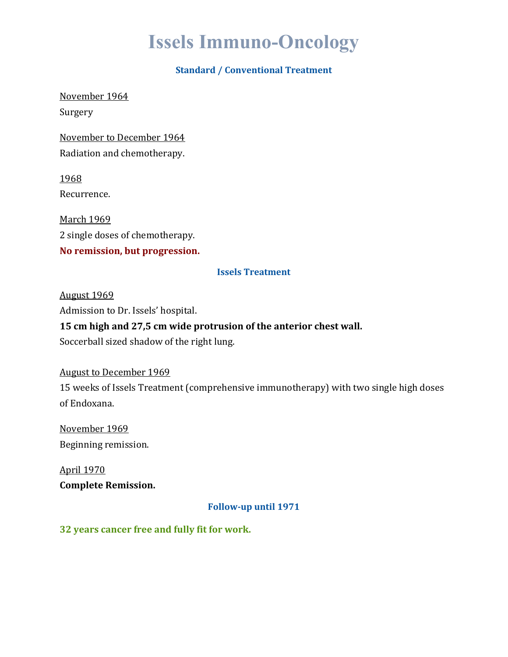## **Issels Immuno-Oncology**

#### **Standard / Conventional Treatment**

November 1964

Surgery

November to December 1964 Radiation and chemotherapy.

1968 Recurrence.

March 1969 2 single doses of chemotherapy. **No remission, but progression.**

#### **Issels Treatment**

August 1969 Admission to Dr. Issels' hospital.

**15 cm high and 27,5 cm wide protrusion of the anterior chest wall.**

Soccerball sized shadow of the right lung.

August to December 1969 15 weeks of Issels Treatment (comprehensive immunotherapy) with two single high doses of Endoxana.

November 1969 Beginning remission.

April 1970 **Complete Remission.**

**Follow-up until 1971**

**32 years cancer free and fully fit for work.**